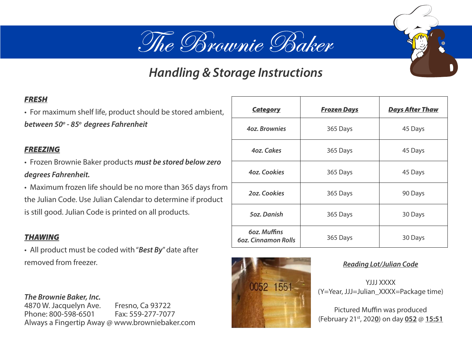# The Brownie Baker

### *Handling & Storage Instructions*

### *FRESH*

• For maximum shelf life, product should be stored ambient, *between 50o - 85o degrees Fahrenheit*

#### *FREEZING*

• Frozen Brownie Baker products *must be stored below zero degrees Fahrenheit.*

• Maximum frozen life should be no more than 365 days from the Julian Code. Use Julian Calendar to determine if product is still good. Julian Code is printed on all products.

#### *THAWING*

• All product must be coded with "*Best By*" date after removed from freezer. **Reading Lot**/Julian Code

*The Brownie Baker, Inc.* 4870 W. Jacquelyn Ave. Fresno, Ca 93722 Phone: 800-598-6501 Fax: 559-277-7077 Always a Fingertip Away @ www.browniebaker.com

| <b>Category</b>                            | <u>Frozen Days</u> | <b>Days After Thaw</b> |
|--------------------------------------------|--------------------|------------------------|
| <b>40z. Brownies</b>                       | 365 Days           | 45 Days                |
| 4oz. Cakes                                 | 365 Days           | 45 Days                |
| 4oz. Cookies                               | 365 Days           | 45 Days                |
| <b>20z. Cookies</b>                        | 365 Days           | 90 Days                |
| <b>5oz.</b> Danish                         | 365 Days           | 30 Days                |
| 60z. Muffins<br><b>60z. Cinnamon Rolls</b> | 365 Days           | 30 Days                |



YJJJ XXXX (Y=Year, JJJ=Julian\_XXXX=Package time)

Pictured Muffin was produced (February 21st, 202**0**) on day **052** @ **15:51**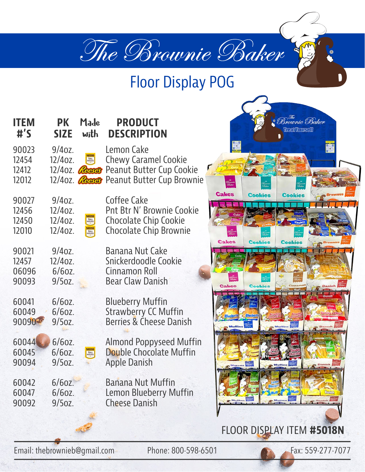

### Floor Display POG

| <b>ITEM</b><br>$\sharp$ 's       | PK<br><b>SIZE</b>                                   | Made<br>with                                 | <b>PRODUCT</b><br><b>DESCRIPTION</b>                                                                                                                        |              |
|----------------------------------|-----------------------------------------------------|----------------------------------------------|-------------------------------------------------------------------------------------------------------------------------------------------------------------|--------------|
| 90023<br>12454<br>12412<br>12012 | $9/40Z$ .<br>$12/40z$ .                             | <b>TOLL</b>                                  | Lemon Cake<br><b>Chewy Caramel Cookie</b><br>12/40z. <b><i>Cosses</i></b> Peanut Butter Cup Cookie<br>12/40z. <b><i>Cosco</i></b> Peanut Butter Cup Brownie |              |
| 90027<br>12456<br>12450<br>12010 | $9/40Z$ .<br>$12/40z$ .<br>$12/40z$ .<br>$12/40z$ . | <b>TOLL</b><br>HOUSE<br>Vestk<br><b>TOLL</b> | Coffee Cake<br>Pnt Btr N' Brownie Cookie<br><b>Chocolate Chip Cookie</b><br><b>Chocolate Chip Brownie</b>                                                   | <b>Cakes</b> |
| 90021<br>12457<br>06096<br>90093 | $9/40Z$ .<br>$12/40z$ .<br>$6/60Z$ .<br>$9/5$ oz.   |                                              | Banana Nut Cake<br>Snickerdoodle Cookie<br><b>Cinnamon Roll</b><br><b>Bear Claw Danish</b>                                                                  | <b>Cakes</b> |
| 60041<br>60049<br>90090          | $6/60Z$ .<br>$6/60Z$ .<br>$9/50z$ .                 |                                              | <b>Blueberry Muffin</b><br><b>Strawberry CC Muffin</b><br><b>Berries &amp; Cheese Danish</b>                                                                |              |
| 60044<br>60045<br>90094          | $6/60Z$ .<br>$6/60Z$ .<br>$9/50z$ .                 | <b>TOLL</b><br>HOUSE                         | <b>Almond Poppyseed Muffin</b><br><b>Double Chocolate Muffin</b><br><b>Apple Danish</b>                                                                     |              |
| 60042<br>60047<br>90092          | $6/60Z$ .<br>$6/60Z$ .<br>$9/50Z$ .                 |                                              | <b>Banana Nut Muffin</b><br><b>Lemon Blueberry Muffin</b><br><b>Cheese Danish</b>                                                                           |              |
|                                  |                                                     |                                              |                                                                                                                                                             | <b>FLOOR</b> |

Email: thebrownieb@gmail.com Phone: 800-598-6501 Fax: 559-277-7077

П

<sup>The</sup><br>Brownie Baker **Thear Wounself** 

Cookie

**Cookies** 

**Cookies** 

Cookies

FLOOR DISPLAY ITEM **#5018N**